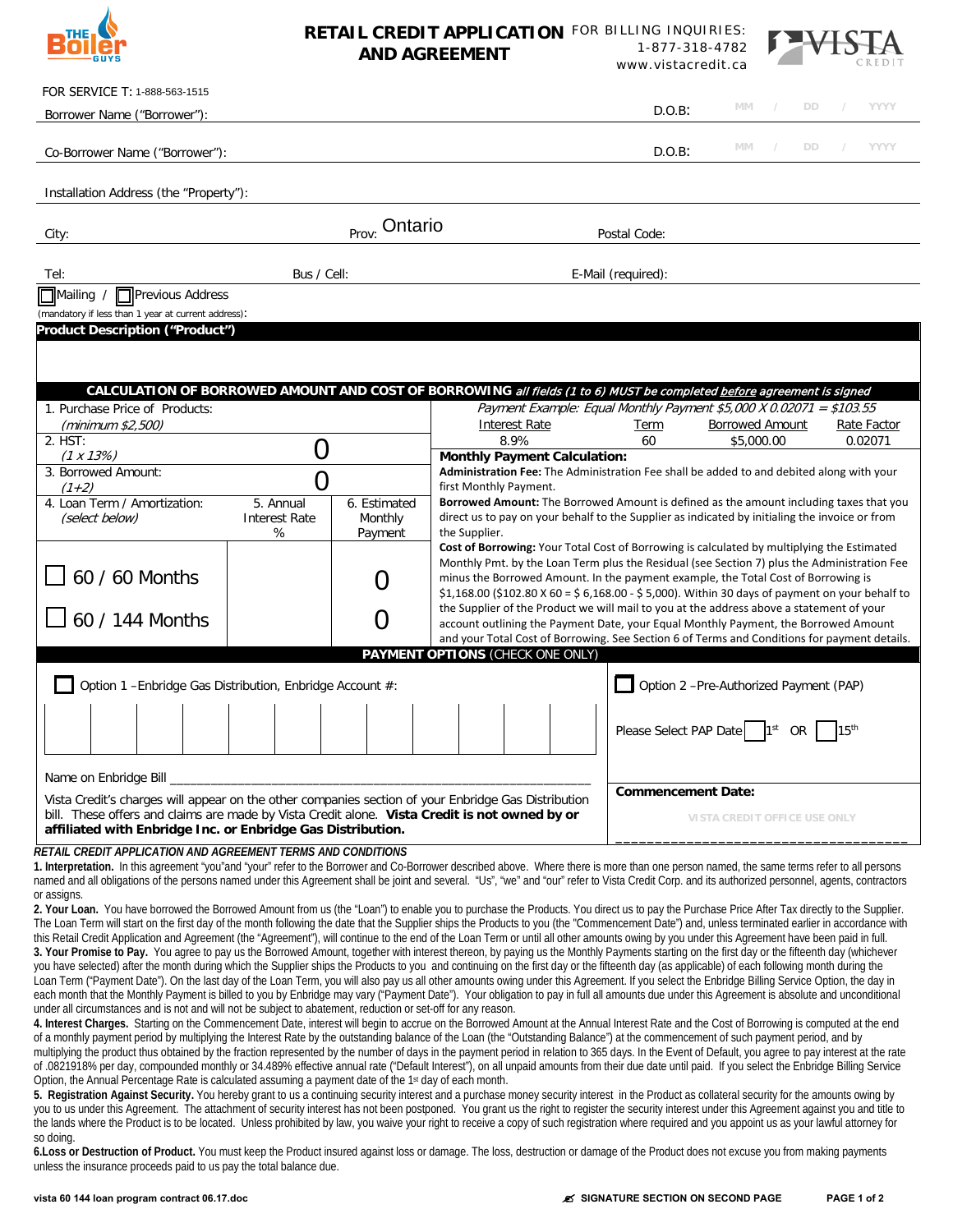## **RETAIL CREDIT APPLICATION**  FOR BILLING INQUIRIES: **AND AGREEMENT** 1-877-318-4782 www.vistacredit.ca



| FOR SERVICE T: 1-888-563-1515                                                                                                                                                                                                                                                                                                                                                                     |                                                                                                                                                                                      |                              |                                                                                                                                                                                                 |                                        |                                      |           |               |                        |  |  |
|---------------------------------------------------------------------------------------------------------------------------------------------------------------------------------------------------------------------------------------------------------------------------------------------------------------------------------------------------------------------------------------------------|--------------------------------------------------------------------------------------------------------------------------------------------------------------------------------------|------------------------------|-------------------------------------------------------------------------------------------------------------------------------------------------------------------------------------------------|----------------------------------------|--------------------------------------|-----------|---------------|------------------------|--|--|
| Borrower Name ("Borrower"):                                                                                                                                                                                                                                                                                                                                                                       |                                                                                                                                                                                      |                              |                                                                                                                                                                                                 | $D.O.B$ :                              | MM                                   | DD.       |               | <b>YYYY</b>            |  |  |
| Co-Borrower Name ("Borrower"):                                                                                                                                                                                                                                                                                                                                                                    |                                                                                                                                                                                      |                              | $D.O.B$ :                                                                                                                                                                                       | MM                                     | DD.                                  |           | YYYY          |                        |  |  |
| Installation Address (the "Property"):                                                                                                                                                                                                                                                                                                                                                            |                                                                                                                                                                                      |                              |                                                                                                                                                                                                 |                                        |                                      |           |               |                        |  |  |
| City:                                                                                                                                                                                                                                                                                                                                                                                             | Prov: Ontario                                                                                                                                                                        | Postal Code:                 |                                                                                                                                                                                                 |                                        |                                      |           |               |                        |  |  |
| Tel:                                                                                                                                                                                                                                                                                                                                                                                              | Bus / Cell:                                                                                                                                                                          |                              | E-Mail (required):                                                                                                                                                                              |                                        |                                      |           |               |                        |  |  |
| Previous Address<br>$\Box$ Mailing /                                                                                                                                                                                                                                                                                                                                                              |                                                                                                                                                                                      |                              |                                                                                                                                                                                                 |                                        |                                      |           |               |                        |  |  |
| (mandatory if less than 1 year at current address):<br><b>Product Description ("Product")</b>                                                                                                                                                                                                                                                                                                     |                                                                                                                                                                                      |                              |                                                                                                                                                                                                 |                                        |                                      |           |               |                        |  |  |
|                                                                                                                                                                                                                                                                                                                                                                                                   |                                                                                                                                                                                      |                              |                                                                                                                                                                                                 |                                        |                                      |           |               |                        |  |  |
|                                                                                                                                                                                                                                                                                                                                                                                                   |                                                                                                                                                                                      |                              |                                                                                                                                                                                                 |                                        |                                      |           |               |                        |  |  |
|                                                                                                                                                                                                                                                                                                                                                                                                   |                                                                                                                                                                                      |                              | CALCULATION OF BORROWED AMOUNT AND COST OF BORROWING all fields (1 to 6) MUST be completed before agreement is signed                                                                           |                                        |                                      |           |               |                        |  |  |
| 1. Purchase Price of Products:                                                                                                                                                                                                                                                                                                                                                                    |                                                                                                                                                                                      |                              | Payment Example: Equal Monthly Payment \$5,000 X 0.02071 = \$103.55                                                                                                                             |                                        |                                      |           |               |                        |  |  |
| (minimum \$2,500)<br>2. HST:                                                                                                                                                                                                                                                                                                                                                                      |                                                                                                                                                                                      |                              | <b>Interest Rate</b><br>8.9%                                                                                                                                                                    | Term<br>60                             | <b>Borrowed Amount</b><br>\$5,000.00 |           |               | Rate Factor<br>0.02071 |  |  |
| $(1 \times 13\%)$                                                                                                                                                                                                                                                                                                                                                                                 | $\overline{0}$                                                                                                                                                                       |                              | <b>Monthly Payment Calculation:</b>                                                                                                                                                             |                                        |                                      |           |               |                        |  |  |
| 3. Borrowed Amount:                                                                                                                                                                                                                                                                                                                                                                               | $\overline{0}$                                                                                                                                                                       |                              | Administration Fee: The Administration Fee shall be added to and debited along with your                                                                                                        |                                        |                                      |           |               |                        |  |  |
| (1+2)<br>4. Loan Term / Amortization:                                                                                                                                                                                                                                                                                                                                                             | 5. Annual                                                                                                                                                                            | 6. Estimated                 | first Monthly Payment.                                                                                                                                                                          |                                        |                                      |           |               |                        |  |  |
| (select below)                                                                                                                                                                                                                                                                                                                                                                                    | <b>Interest Rate</b>                                                                                                                                                                 | Monthly                      | <b>Borrowed Amount:</b> The Borrowed Amount is defined as the amount including taxes that you<br>direct us to pay on your behalf to the Supplier as indicated by initialing the invoice or from |                                        |                                      |           |               |                        |  |  |
|                                                                                                                                                                                                                                                                                                                                                                                                   | %                                                                                                                                                                                    | Payment                      | the Supplier.                                                                                                                                                                                   |                                        |                                      |           |               |                        |  |  |
|                                                                                                                                                                                                                                                                                                                                                                                                   |                                                                                                                                                                                      |                              | Cost of Borrowing: Your Total Cost of Borrowing is calculated by multiplying the Estimated<br>Monthly Pmt. by the Loan Term plus the Residual (see Section 7) plus the Administration Fee       |                                        |                                      |           |               |                        |  |  |
| 60 / 60 Months                                                                                                                                                                                                                                                                                                                                                                                    |                                                                                                                                                                                      | $\overline{0}$               | minus the Borrowed Amount. In the payment example, the Total Cost of Borrowing is                                                                                                               |                                        |                                      |           |               |                        |  |  |
|                                                                                                                                                                                                                                                                                                                                                                                                   |                                                                                                                                                                                      |                              | \$1,168.00 (\$102.80 X 60 = \$ 6,168.00 - \$ 5,000). Within 30 days of payment on your behalf to                                                                                                |                                        |                                      |           |               |                        |  |  |
| 60 / 144 Months                                                                                                                                                                                                                                                                                                                                                                                   | the Supplier of the Product we will mail to you at the address above a statement of your<br>0<br>account outlining the Payment Date, your Equal Monthly Payment, the Borrowed Amount |                              |                                                                                                                                                                                                 |                                        |                                      |           |               |                        |  |  |
|                                                                                                                                                                                                                                                                                                                                                                                                   |                                                                                                                                                                                      |                              | and your Total Cost of Borrowing. See Section 6 of Terms and Conditions for payment details.                                                                                                    |                                        |                                      |           |               |                        |  |  |
|                                                                                                                                                                                                                                                                                                                                                                                                   |                                                                                                                                                                                      |                              | PAYMENT OPTIONS (CHECK ONE ONLY)                                                                                                                                                                |                                        |                                      |           |               |                        |  |  |
| Option 1 - Enbridge Gas Distribution, Enbridge Account #:                                                                                                                                                                                                                                                                                                                                         |                                                                                                                                                                                      |                              |                                                                                                                                                                                                 | Option 2 -Pre-Authorized Payment (PAP) |                                      |           |               |                        |  |  |
|                                                                                                                                                                                                                                                                                                                                                                                                   |                                                                                                                                                                                      |                              |                                                                                                                                                                                                 |                                        |                                      |           |               |                        |  |  |
|                                                                                                                                                                                                                                                                                                                                                                                                   |                                                                                                                                                                                      |                              |                                                                                                                                                                                                 | Please Select PAP Date                 | 1st                                  | <b>OR</b> | $15^{\sf th}$ |                        |  |  |
|                                                                                                                                                                                                                                                                                                                                                                                                   |                                                                                                                                                                                      |                              |                                                                                                                                                                                                 |                                        |                                      |           |               |                        |  |  |
| Name on Enbridge Bill __                                                                                                                                                                                                                                                                                                                                                                          |                                                                                                                                                                                      |                              |                                                                                                                                                                                                 |                                        |                                      |           |               |                        |  |  |
| Vista Credit's charges will appear on the other companies section of your Enbridge Gas Distribution                                                                                                                                                                                                                                                                                               | <b>Commencement Date:</b>                                                                                                                                                            |                              |                                                                                                                                                                                                 |                                        |                                      |           |               |                        |  |  |
| bill. These offers and claims are made by Vista Credit alone. Vista Credit is not owned by or                                                                                                                                                                                                                                                                                                     |                                                                                                                                                                                      | VISTA CREDIT OFFICE USE ONLY |                                                                                                                                                                                                 |                                        |                                      |           |               |                        |  |  |
| affiliated with Enbridge Inc. or Enbridge Gas Distribution.                                                                                                                                                                                                                                                                                                                                       |                                                                                                                                                                                      |                              |                                                                                                                                                                                                 |                                        |                                      |           |               |                        |  |  |
| RETAIL CREDIT APPLICATION AND AGREEMENT TERMS AND CONDITIONS<br>1. Interpretation. In this agreement "you"and "your" refer to the Borrower and Co-Borrower described above. Where there is more than one person named, the same terms refer to all persons                                                                                                                                        |                                                                                                                                                                                      |                              |                                                                                                                                                                                                 |                                        |                                      |           |               |                        |  |  |
| named and all obligations of the persons named under this Agreement shall be joint and several. "Us", "we" and "our" refer to Vista Credit Corp. and its authorized personnel, agents, contractors                                                                                                                                                                                                |                                                                                                                                                                                      |                              |                                                                                                                                                                                                 |                                        |                                      |           |               |                        |  |  |
| or assigns.                                                                                                                                                                                                                                                                                                                                                                                       |                                                                                                                                                                                      |                              |                                                                                                                                                                                                 |                                        |                                      |           |               |                        |  |  |
| 2. Your Loan. You have borrowed the Borrowed Amount from us (the "Loan") to enable you to purchase the Products. You direct us to pay the Purchase Price After Tax directly to the Supplier.<br>The Loan Term will start on the first day of the month following the date that the Supplier ships the Products to you (the "Commencement Date") and, unless terminated earlier in accordance with |                                                                                                                                                                                      |                              |                                                                                                                                                                                                 |                                        |                                      |           |               |                        |  |  |
| this Retail Credit Application and Agreement (the "Agreement"), will continue to the end of the Loan Term or until all other amounts owing by you under this Agreement have been paid in full.                                                                                                                                                                                                    |                                                                                                                                                                                      |                              |                                                                                                                                                                                                 |                                        |                                      |           |               |                        |  |  |
| 3. Your Promise to Pay. You agree to pay us the Borrowed Amount, together with interest thereon, by paying us the Monthly Payments starting on the first day or the fifteenth day (whichever<br>you have selected) after the month during which the Supplier ships the Products to you and continuing on the first day or the fifteenth day (as applicable) of each following month during the    |                                                                                                                                                                                      |                              |                                                                                                                                                                                                 |                                        |                                      |           |               |                        |  |  |
| Loan Term ("Payment Date"). On the last day of the Loan Term, you will also pay us all other amounts owing under this Agreement. If you select the Enbridge Billing Service Option, the day in                                                                                                                                                                                                    |                                                                                                                                                                                      |                              |                                                                                                                                                                                                 |                                        |                                      |           |               |                        |  |  |
| each month that the Monthly Payment is billed to you by Enbridge may vary ("Payment Date"). Your obligation to pay in full all amounts due under this Agreement is absolute and unconditional<br>under all circumstances and is not and will not be subject to abatement, reduction or set-off for any reason.                                                                                    |                                                                                                                                                                                      |                              |                                                                                                                                                                                                 |                                        |                                      |           |               |                        |  |  |
| 4. Interest Charges. Starting on the Commencement Date, interest will begin to accrue on the Borrowed Amount at the Annual Interest Rate and the Cost of Borrowing is computed at the end                                                                                                                                                                                                         |                                                                                                                                                                                      |                              |                                                                                                                                                                                                 |                                        |                                      |           |               |                        |  |  |
| of a monthly payment period by multiplying the Interest Rate by the outstanding balance of the Loan (the "Outstanding Balance") at the commencement of such payment period, and by<br>multiplying the product thus obtained by the fraction represented by the number of days in the payment period in relation to 365 days. In the Event of Default, you agree to pay interest at the rate       |                                                                                                                                                                                      |                              |                                                                                                                                                                                                 |                                        |                                      |           |               |                        |  |  |
| of .0821918% per day, compounded monthly or 34.489% effective annual rate ("Default Interest"), on all unpaid amounts from their due date until paid. If you select the Enbridge Billing Service                                                                                                                                                                                                  |                                                                                                                                                                                      |                              |                                                                                                                                                                                                 |                                        |                                      |           |               |                        |  |  |
| Option, the Annual Percentage Rate is calculated assuming a payment date of the 1 <sup>st</sup> day of each month.<br>5. Registration Against Security, You hereby grant to us a continuing security interest and a purchase money security interest in the Product as collateral security for the amounts owing by                                                                               |                                                                                                                                                                                      |                              |                                                                                                                                                                                                 |                                        |                                      |           |               |                        |  |  |

**5. Registration Against Security.** You hereby grant to us a continuing security interest and a purchase money security interest in the Product as collateral security for the amounts owing by you to us under this Agreement. The attachment of security interest has not been postponed. You grant us the right to register the security interest under this Agreement against you and title to the lands where the Product is to be located. Unless prohibited by law, you waive your right to receive a copy of such registration where required and you appoint us as your lawful attorney for so doing.

6.Loss or Destruction of Product. You must keep the Product insured against loss or damage. The loss, destruction or damage of the Product does not excuse you from making payments unless the insurance proceeds paid to us pay the total balance due.